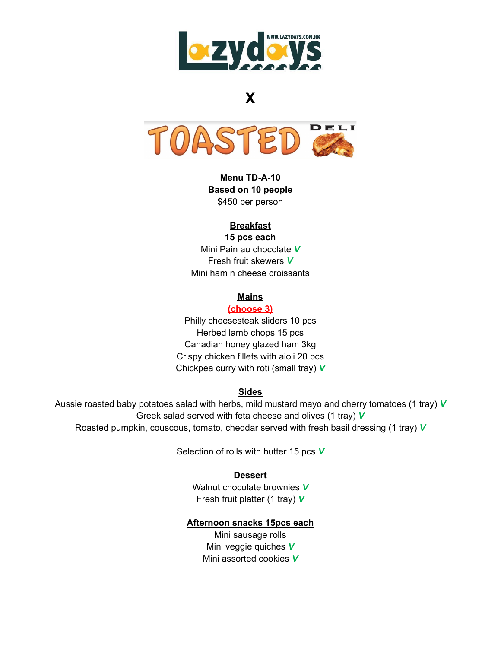

# **X**



**Menu TD-A-10 Based on 10 people** \$450 per person

# **Breakfast**

**15 pcs each** Mini Pain au chocolate *V* Fresh fruit skewers *V* Mini ham n cheese croissants

# **Mains**

## **(choose 3)**

Philly cheesesteak sliders 10 pcs Herbed lamb chops 15 pcs Canadian honey glazed ham 3kg Crispy chicken fillets with aioli 20 pcs Chickpea curry with roti (small tray) *V*

#### **Sides**

Aussie roasted baby potatoes salad with herbs, mild mustard mayo and cherry tomatoes (1 tray) *V* Greek salad served with feta cheese and olives (1 tray) *V* Roasted pumpkin, couscous, tomato, cheddar served with fresh basil dressing (1 tray) *V*

Selection of rolls with butter 15 pcs *V*

#### **Dessert**

Walnut chocolate brownies *V* Fresh fruit platter (1 tray) *V*

#### **Afternoon snacks 15pcs each**

Mini sausage rolls Mini veggie quiches *V* Mini assorted cookies *V*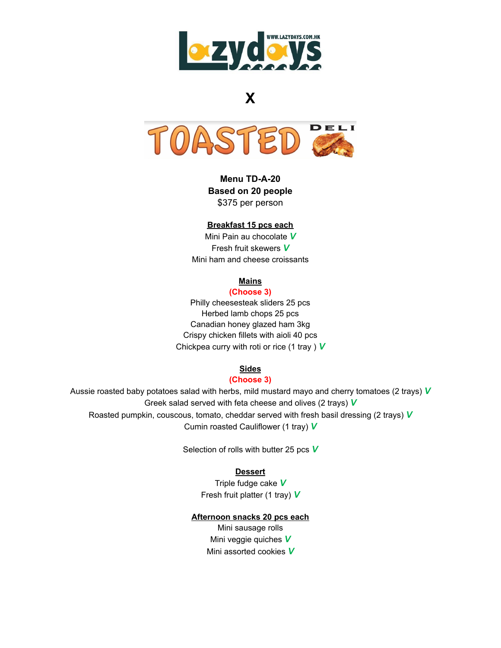

# **X**



**Menu TD-A-20 Based on 20 people** \$375 per person

#### **Breakfast 15 pcs each**

Mini Pain au chocolate *V* Fresh fruit skewers *V* Mini ham and cheese croissants

#### **Mains**

#### **(Choose 3)**

Philly cheesesteak sliders 25 pcs Herbed lamb chops 25 pcs Canadian honey glazed ham 3kg Crispy chicken fillets with aioli 40 pcs Chickpea curry with roti or rice (1 tray ) *V*

### **Sides**

#### **(Choose 3)**

Aussie roasted baby potatoes salad with herbs, mild mustard mayo and cherry tomatoes (2 trays) *V* Greek salad served with feta cheese and olives (2 trays) *V* Roasted pumpkin, couscous, tomato, cheddar served with fresh basil dressing (2 trays) *V* Cumin roasted Cauliflower (1 tray) *V*

Selection of rolls with butter 25 pcs *V*

#### **Dessert**

Triple fudge cake *V* Fresh fruit platter (1 tray) *V*

#### **Afternoon snacks 20 pcs each**

Mini sausage rolls Mini veggie quiches *V* Mini assorted cookies *V*